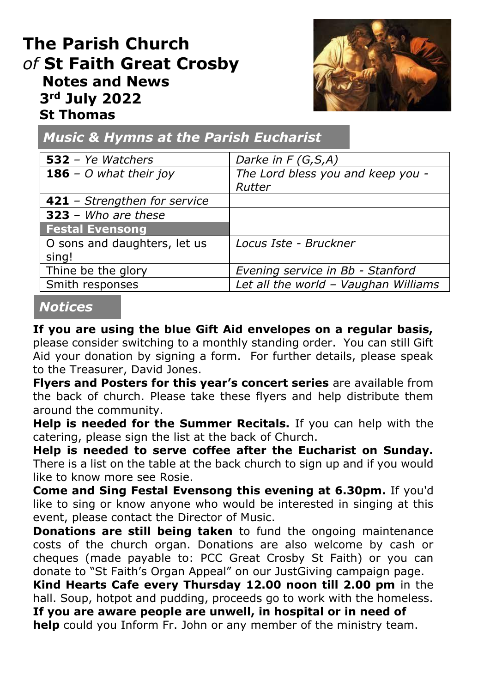# **The Parish Church** *of* **St Faith Great Crosby Notes and News 3rd July 2022 St Thomas**



*Music & Hymns at the Parish Eucharist*

| $532 - Ye$ <i>Watchers</i>    | Darke in $F(G, S, A)$                |
|-------------------------------|--------------------------------------|
| <b>186</b> – O what their joy | The Lord bless you and keep you -    |
|                               | Rutter                               |
| 421 - Strengthen for service  |                                      |
| $323 - Who$ are these         |                                      |
| <b>Festal Evensong</b>        |                                      |
| O sons and daughters, let us  | Locus Iste - Bruckner                |
| sing!                         |                                      |
| Thine be the glory            | Evening service in Bb - Stanford     |
| Smith responses               | Let all the world - Vaughan Williams |

#### *Notices*

**If you are using the blue Gift Aid envelopes on a regular basis,**  please consider switching to a monthly standing order. You can still Gift Aid your donation by signing a form. For further details, please speak to the Treasurer, David Jones.

**Flyers and Posters for this year's concert series** are available from the back of church. Please take these flyers and help distribute them around the community.

**Help is needed for the Summer Recitals.** If you can help with the catering, please sign the list at the back of Church.

**Help is needed to serve coffee after the Eucharist on Sunday.**  There is a list on the table at the back church to sign up and if you would like to know more see Rosie.

**Come and Sing Festal Evensong this evening at 6.30pm.** If you'd like to sing or know anyone who would be interested in singing at this event, please contact the Director of Music.

**Donations are still being taken** to fund the ongoing maintenance costs of the church organ. Donations are also welcome by cash or cheques (made payable to: PCC Great Crosby St Faith) or you can donate to "St Faith's Organ Appeal" on our JustGiving campaign page.

**Kind Hearts Cafe every Thursday 12.00 noon till 2.00 pm** in the hall. Soup, hotpot and pudding, proceeds go to work with the homeless. **If you are aware people are unwell, in hospital or in need of help** could you Inform Fr. John or any member of the ministry team.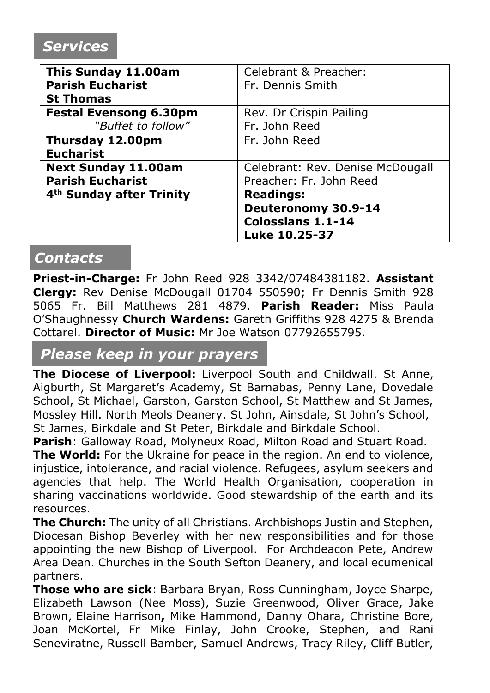### *Services*

| This Sunday 11.00am                  | Celebrant & Preacher:            |
|--------------------------------------|----------------------------------|
| <b>Parish Eucharist</b>              | Fr. Dennis Smith                 |
| <b>St Thomas</b>                     |                                  |
| <b>Festal Evensong 6.30pm</b>        | Rev. Dr Crispin Pailing          |
| "Buffet to follow"                   | Fr. John Reed                    |
| Thursday 12.00pm                     | Fr. John Reed                    |
| <b>Eucharist</b>                     |                                  |
| <b>Next Sunday 11.00am</b>           | Celebrant: Rev. Denise McDougall |
| <b>Parish Eucharist</b>              | Preacher: Fr. John Reed          |
| 4 <sup>th</sup> Sunday after Trinity | <b>Readings:</b>                 |
|                                      | Deuteronomy 30.9-14              |
|                                      | <b>Colossians 1.1-14</b>         |
|                                      | Luke 10.25-37                    |

### *Contacts*

**Priest-in-Charge:** Fr John Reed 928 3342/07484381182. **Assistant Clergy:** Rev Denise McDougall 01704 550590; Fr Dennis Smith 928 5065 Fr. Bill Matthews 281 4879. **Parish Reader:** Miss Paula O'Shaughnessy **Church Wardens:** Gareth Griffiths 928 4275 & Brenda Cottarel. **Director of Music:** Mr Joe Watson 07792655795.

### *Please keep in your prayers*

**The Diocese of Liverpool:** Liverpool South and Childwall. St Anne, Aigburth, St Margaret's Academy, St Barnabas, Penny Lane, Dovedale School, St Michael, Garston, Garston School, St Matthew and St James, Mossley Hill. North Meols Deanery. St John, Ainsdale, St John's School, St James, Birkdale and St Peter, Birkdale and Birkdale School.

**Parish**: Galloway Road, Molyneux Road, Milton Road and Stuart Road.

**The World:** For the Ukraine for peace in the region. An end to violence, injustice, intolerance, and racial violence. Refugees, asylum seekers and agencies that help. The World Health Organisation, cooperation in sharing vaccinations worldwide. Good stewardship of the earth and its resources.

**The Church:** The unity of all Christians. Archbishops Justin and Stephen, Diocesan Bishop Beverley with her new responsibilities and for those appointing the new Bishop of Liverpool. For Archdeacon Pete, Andrew Area Dean. Churches in the South Sefton Deanery, and local ecumenical partners.

**Those who are sick**: Barbara Bryan, Ross Cunningham, Joyce Sharpe, Elizabeth Lawson (Nee Moss), Suzie Greenwood, Oliver Grace, Jake Brown, Elaine Harrison**,** Mike Hammond, Danny Ohara, Christine Bore, Joan McKortel, Fr Mike Finlay, John Crooke, Stephen, and Rani Seneviratne, Russell Bamber, Samuel Andrews, Tracy Riley, Cliff Butler,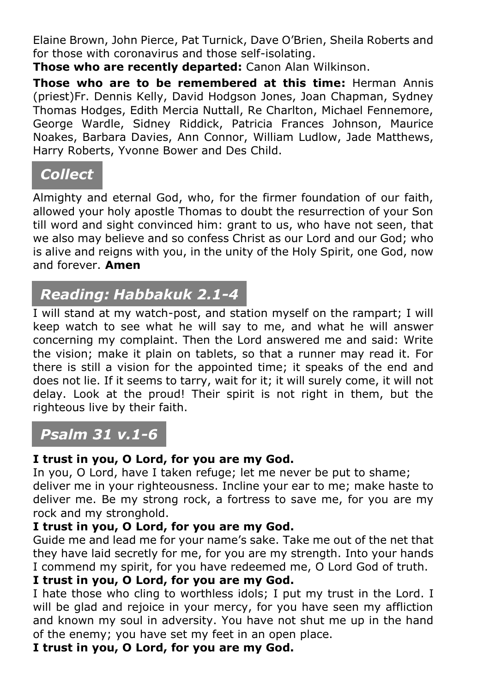Elaine Brown, John Pierce, Pat Turnick, Dave O'Brien, Sheila Roberts and for those with coronavirus and those self-isolating.

**Those who are recently departed:** Canon Alan Wilkinson.

**Those who are to be remembered at this time:** Herman Annis (priest)Fr. Dennis Kelly, David Hodgson Jones, Joan Chapman, Sydney Thomas Hodges, Edith Mercia Nuttall, Re Charlton, Michael Fennemore, George Wardle, Sidney Riddick, Patricia Frances Johnson, Maurice Noakes, Barbara Davies, Ann Connor, William Ludlow, Jade Matthews, Harry Roberts, Yvonne Bower and Des Child.

## *Collect*

Almighty and eternal God, who, for the firmer foundation of our faith, allowed your holy apostle Thomas to doubt the resurrection of your Son till word and sight convinced him: grant to us, who have not seen, that we also may believe and so confess Christ as our Lord and our God; who is alive and reigns with you, in the unity of the Holy Spirit, one God, now and forever. **Amen**

# *Reading: Habbakuk 2.1-4*

I will stand at my watch-post, and station myself on the rampart; I will keep watch to see what he will say to me, and what he will answer concerning my complaint. Then the Lord answered me and said: Write the vision; make it plain on tablets, so that a runner may read it. For there is still a vision for the appointed time; it speaks of the end and does not lie. If it seems to tarry, wait for it; it will surely come, it will not delay. Look at the proud! Their spirit is not right in them, but the righteous live by their faith.

## *Psalm 31 v.1-6*

#### **I trust in you, O Lord, for you are my God.**

In you, O Lord, have I taken refuge; let me never be put to shame; deliver me in your righteousness. Incline your ear to me; make haste to deliver me. Be my strong rock, a fortress to save me, for you are my rock and my stronghold.

#### **I trust in you, O Lord, for you are my God.**

Guide me and lead me for your name's sake. Take me out of the net that they have laid secretly for me, for you are my strength. Into your hands I commend my spirit, for you have redeemed me, O Lord God of truth.

#### **I trust in you, O Lord, for you are my God.**

I hate those who cling to worthless idols; I put my trust in the Lord. I will be glad and rejoice in your mercy, for you have seen my affliction and known my soul in adversity. You have not shut me up in the hand of the enemy; you have set my feet in an open place.

**I trust in you, O Lord, for you are my God.**